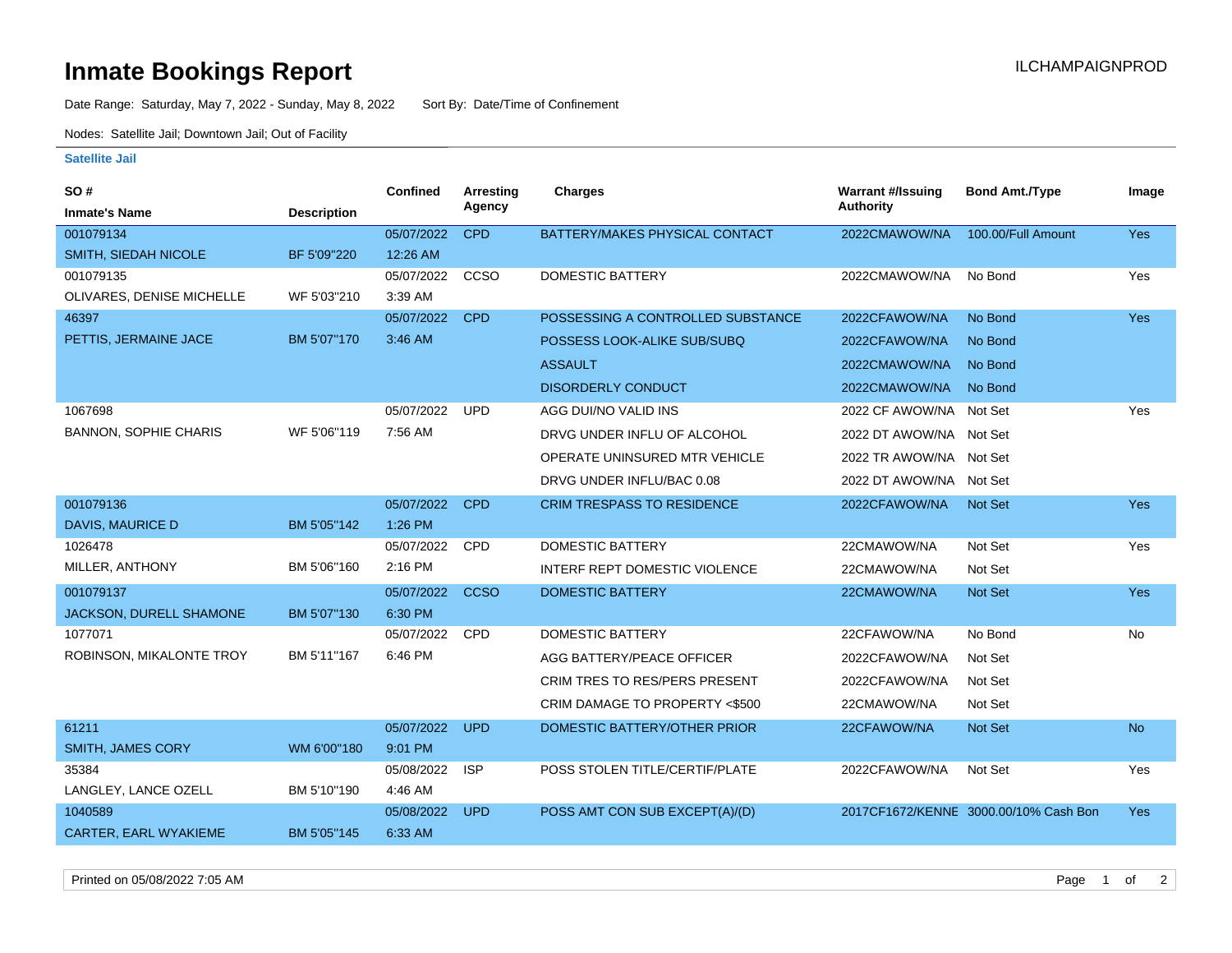## **Inmate Bookings Report International Contract Contract Contract Contract Contract Contract Contract Contract Contract Contract Contract Contract Contract Contract Contract Contract Contract Contract Contract Contract Co**

Date Range: Saturday, May 7, 2022 - Sunday, May 8, 2022 Sort By: Date/Time of Confinement

Nodes: Satellite Jail; Downtown Jail; Out of Facility

## **Satellite Jail**

| SO#                          |                    | <b>Confined</b> | Arresting   | <b>Charges</b>                    | <b>Warrant #/Issuing</b> | <b>Bond Amt./Type</b>                 | Image      |
|------------------------------|--------------------|-----------------|-------------|-----------------------------------|--------------------------|---------------------------------------|------------|
| <b>Inmate's Name</b>         | <b>Description</b> |                 | Agency      |                                   | Authority                |                                       |            |
| 001079134                    |                    | 05/07/2022      | <b>CPD</b>  | BATTERY/MAKES PHYSICAL CONTACT    | 2022CMAWOW/NA            | 100.00/Full Amount                    | Yes        |
| SMITH, SIEDAH NICOLE         | BF 5'09"220        | 12:26 AM        |             |                                   |                          |                                       |            |
| 001079135                    |                    | 05/07/2022      | CCSO        | <b>DOMESTIC BATTERY</b>           | 2022CMAWOW/NA            | No Bond                               | Yes        |
| OLIVARES, DENISE MICHELLE    | WF 5'03"210        | 3:39 AM         |             |                                   |                          |                                       |            |
| 46397                        |                    | 05/07/2022      | <b>CPD</b>  | POSSESSING A CONTROLLED SUBSTANCE | 2022CFAWOW/NA            | No Bond                               | <b>Yes</b> |
| PETTIS, JERMAINE JACE        | BM 5'07"170        | 3:46 AM         |             | POSSESS LOOK-ALIKE SUB/SUBQ       | 2022CFAWOW/NA            | No Bond                               |            |
|                              |                    |                 |             | <b>ASSAULT</b>                    | 2022CMAWOW/NA            | No Bond                               |            |
|                              |                    |                 |             | <b>DISORDERLY CONDUCT</b>         | 2022CMAWOW/NA            | No Bond                               |            |
| 1067698                      |                    | 05/07/2022      | <b>UPD</b>  | AGG DUI/NO VALID INS              | 2022 CF AWOW/NA Not Set  |                                       | Yes        |
| <b>BANNON, SOPHIE CHARIS</b> | WF 5'06"119        | 7:56 AM         |             | DRVG UNDER INFLU OF ALCOHOL       | 2022 DT AWOW/NA Not Set  |                                       |            |
|                              |                    |                 |             | OPERATE UNINSURED MTR VEHICLE     | 2022 TR AWOW/NA Not Set  |                                       |            |
|                              |                    |                 |             | DRVG UNDER INFLU/BAC 0.08         | 2022 DT AWOW/NA Not Set  |                                       |            |
| 001079136                    |                    | 05/07/2022      | <b>CPD</b>  | <b>CRIM TRESPASS TO RESIDENCE</b> | 2022CFAWOW/NA            | <b>Not Set</b>                        | <b>Yes</b> |
| DAVIS, MAURICE D             | BM 5'05"142        | 1:26 PM         |             |                                   |                          |                                       |            |
| 1026478                      |                    | 05/07/2022      | <b>CPD</b>  | <b>DOMESTIC BATTERY</b>           | 22CMAWOW/NA              | Not Set                               | Yes        |
| MILLER, ANTHONY              | BM 5'06"160        | 2:16 PM         |             | INTERF REPT DOMESTIC VIOLENCE     | 22CMAWOW/NA              | Not Set                               |            |
| 001079137                    |                    | 05/07/2022      | <b>CCSO</b> | <b>DOMESTIC BATTERY</b>           | 22CMAWOW/NA              | Not Set                               | <b>Yes</b> |
| JACKSON, DURELL SHAMONE      | BM 5'07"130        | 6:30 PM         |             |                                   |                          |                                       |            |
| 1077071                      |                    | 05/07/2022      | CPD         | <b>DOMESTIC BATTERY</b>           | 22CFAWOW/NA              | No Bond                               | No         |
| ROBINSON, MIKALONTE TROY     | BM 5'11"167        | 6:46 PM         |             | AGG BATTERY/PEACE OFFICER         | 2022CFAWOW/NA            | Not Set                               |            |
|                              |                    |                 |             | CRIM TRES TO RES/PERS PRESENT     | 2022CFAWOW/NA            | Not Set                               |            |
|                              |                    |                 |             | CRIM DAMAGE TO PROPERTY <\$500    | 22CMAWOW/NA              | Not Set                               |            |
| 61211                        |                    | 05/07/2022      | <b>UPD</b>  | DOMESTIC BATTERY/OTHER PRIOR      | 22CFAWOW/NA              | <b>Not Set</b>                        | <b>No</b>  |
| <b>SMITH, JAMES CORY</b>     | WM 6'00"180        | 9:01 PM         |             |                                   |                          |                                       |            |
| 35384                        |                    | 05/08/2022      | <b>ISP</b>  | POSS STOLEN TITLE/CERTIF/PLATE    | 2022CFAWOW/NA            | Not Set                               | Yes        |
| LANGLEY, LANCE OZELL         | BM 5'10"190        | 4:46 AM         |             |                                   |                          |                                       |            |
| 1040589                      |                    | 05/08/2022      | <b>UPD</b>  | POSS AMT CON SUB EXCEPT(A)/(D)    |                          | 2017CF1672/KENNE 3000.00/10% Cash Bon | <b>Yes</b> |
| <b>CARTER, EARL WYAKIEME</b> | BM 5'05"145        | 6:33 AM         |             |                                   |                          |                                       |            |

Printed on 05/08/2022 7:05 AM Page 1 of 2